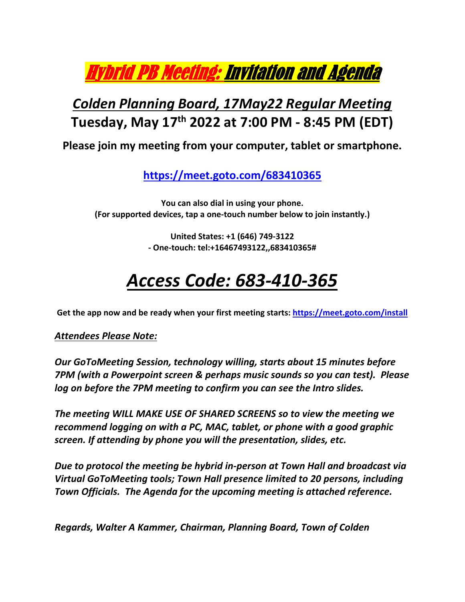Hybrid PB Meeting: Invitation and Agenda

## *Colden Planning Board, 17May22 Regular Meeting*  **Tuesday, May 17th 2022 at 7:00 PM ‐ 8:45 PM (EDT)**

**Please join my meeting from your computer, tablet or smartphone.** 

**https://meet.goto.com/683410365**

**You can also dial in using your phone. (For supported devices, tap a one‐touch number below to join instantly.)** 

> **United States: +1 (646) 749‐3122 ‐ One‐touch: tel:+16467493122,,683410365#**

## *Access Code: 683‐410‐365*

Get the app now and be ready when your first meeting starts: https://meet.goto.com/install

*Attendees Please Note:* 

*Our GoToMeeting Session, technology willing, starts about 15 minutes before 7PM (with a Powerpoint screen & perhaps music sounds so you can test). Please log on before the 7PM meeting to confirm you can see the Intro slides.* 

*The meeting WILL MAKE USE OF SHARED SCREENS so to view the meeting we recommend logging on with a PC, MAC, tablet, or phone with a good graphic screen. If attending by phone you will the presentation, slides, etc.* 

*Due to protocol the meeting be hybrid in‐person at Town Hall and broadcast via Virtual GoToMeeting tools; Town Hall presence limited to 20 persons, including Town Officials. The Agenda for the upcoming meeting is attached reference.* 

*Regards, Walter A Kammer, Chairman, Planning Board, Town of Colden*